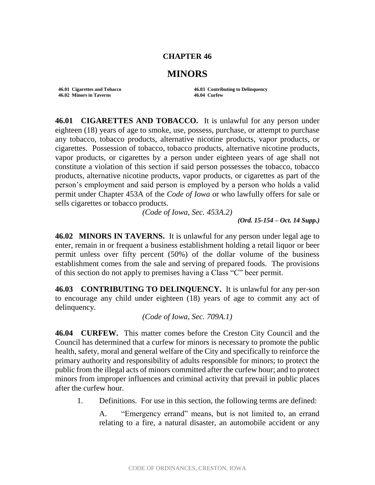## **CHAPTER 46**

## **MINORS**

**46.02 Minors in Taverns 46.04 Curfew**

**46.01 Cigarettes and Tobacco 46.03 Contributing to Delinquency**

**46.01 CIGARETTES AND TOBACCO.** It is unlawful for any person under eighteen (18) years of age to smoke, use, possess, purchase, or attempt to purchase any tobacco, tobacco products, alternative nicotine products, vapor products, or cigarettes. Possession of tobacco, tobacco products, alternative nicotine products, vapor products, or cigarettes by a person under eighteen years of age shall not constitute a violation of this section if said person possesses the tobacco, tobacco products, alternative nicotine products, vapor products, or cigarettes as part of the person's employment and said person is employed by a person who holds a valid permit under Chapter 453A of the *Code of Iowa* or who lawfully offers for sale or sells cigarettes or tobacco products.

*(Code of Iowa, Sec. 453A.2)*

*(Ord. 15-154 – Oct. 14 Supp.)*

**46.02 MINORS IN TAVERNS.** It is unlawful for any person under legal age to enter, remain in or frequent a business establishment holding a retail liquor or beer permit unless over fifty percent (50%) of the dollar volume of the business establishment comes from the sale and serving of prepared foods. The provisions of this section do not apply to premises having a Class "C" beer permit.

**46.03 CONTRIBUTING TO DELINQUENCY.** It is unlawful for any per-son to encourage any child under eighteen (18) years of age to commit any act of delinquency.

*(Code of Iowa, Sec. 709A.1)*

**46.04 CURFEW.** This matter comes before the Creston City Council and the Council has determined that a curfew for minors is necessary to promote the public health, safety, moral and general welfare of the City and specifically to reinforce the primary authority and responsibility of adults responsible for minors; to protect the public from the illegal acts of minors committed after the curfew hour; and to protect minors from improper influences and criminal activity that prevail in public places after the curfew hour.

1. Definitions. For use in this section, the following terms are defined:

A. "Emergency errand" means, but is not limited to, an errand relating to a fire, a natural disaster, an automobile accident or any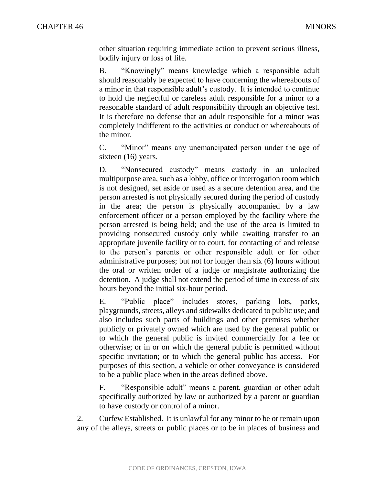other situation requiring immediate action to prevent serious illness, bodily injury or loss of life.

B. "Knowingly" means knowledge which a responsible adult should reasonably be expected to have concerning the whereabouts of a minor in that responsible adult's custody. It is intended to continue to hold the neglectful or careless adult responsible for a minor to a reasonable standard of adult responsibility through an objective test. It is therefore no defense that an adult responsible for a minor was completely indifferent to the activities or conduct or whereabouts of the minor.

C. "Minor" means any unemancipated person under the age of sixteen (16) years.

D. "Nonsecured custody" means custody in an unlocked multipurpose area, such as a lobby, office or interrogation room which is not designed, set aside or used as a secure detention area, and the person arrested is not physically secured during the period of custody in the area; the person is physically accompanied by a law enforcement officer or a person employed by the facility where the person arrested is being held; and the use of the area is limited to providing nonsecured custody only while awaiting transfer to an appropriate juvenile facility or to court, for contacting of and release to the person's parents or other responsible adult or for other administrative purposes; but not for longer than six (6) hours without the oral or written order of a judge or magistrate authorizing the detention. A judge shall not extend the period of time in excess of six hours beyond the initial six-hour period.

E. "Public place" includes stores, parking lots, parks, playgrounds, streets, alleys and sidewalks dedicated to public use; and also includes such parts of buildings and other premises whether publicly or privately owned which are used by the general public or to which the general public is invited commercially for a fee or otherwise; or in or on which the general public is permitted without specific invitation; or to which the general public has access. For purposes of this section, a vehicle or other conveyance is considered to be a public place when in the areas defined above.

F. "Responsible adult" means a parent, guardian or other adult specifically authorized by law or authorized by a parent or guardian to have custody or control of a minor.

2. Curfew Established. It is unlawful for any minor to be or remain upon any of the alleys, streets or public places or to be in places of business and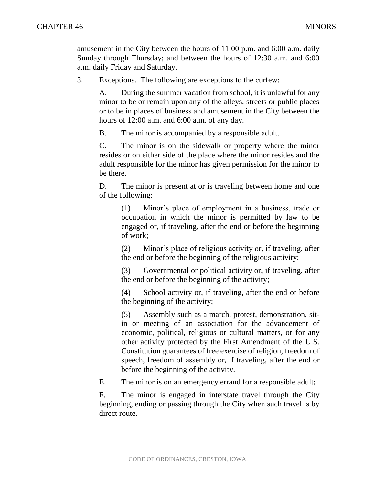amusement in the City between the hours of 11:00 p.m. and 6:00 a.m. daily Sunday through Thursday; and between the hours of 12:30 a.m. and 6:00 a.m. daily Friday and Saturday.

3. Exceptions. The following are exceptions to the curfew:

A. During the summer vacation from school, it is unlawful for any minor to be or remain upon any of the alleys, streets or public places or to be in places of business and amusement in the City between the hours of 12:00 a.m. and 6:00 a.m. of any day.

B. The minor is accompanied by a responsible adult.

C. The minor is on the sidewalk or property where the minor resides or on either side of the place where the minor resides and the adult responsible for the minor has given permission for the minor to be there.

D. The minor is present at or is traveling between home and one of the following:

(1) Minor's place of employment in a business, trade or occupation in which the minor is permitted by law to be engaged or, if traveling, after the end or before the beginning of work;

(2) Minor's place of religious activity or, if traveling, after the end or before the beginning of the religious activity;

(3) Governmental or political activity or, if traveling, after the end or before the beginning of the activity;

(4) School activity or, if traveling, after the end or before the beginning of the activity;

(5) Assembly such as a march, protest, demonstration, sitin or meeting of an association for the advancement of economic, political, religious or cultural matters, or for any other activity protected by the First Amendment of the U.S. Constitution guarantees of free exercise of religion, freedom of speech, freedom of assembly or, if traveling, after the end or before the beginning of the activity.

E. The minor is on an emergency errand for a responsible adult;

F. The minor is engaged in interstate travel through the City beginning, ending or passing through the City when such travel is by direct route.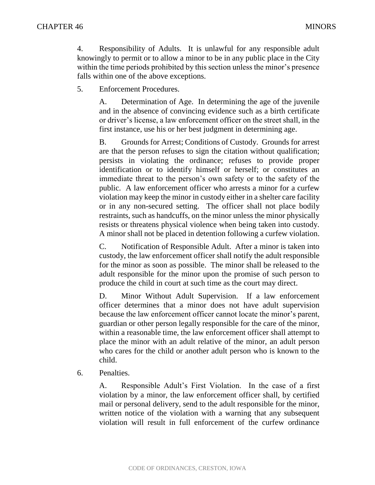4. Responsibility of Adults. It is unlawful for any responsible adult knowingly to permit or to allow a minor to be in any public place in the City within the time periods prohibited by this section unless the minor's presence falls within one of the above exceptions.

5. Enforcement Procedures.

A. Determination of Age. In determining the age of the juvenile and in the absence of convincing evidence such as a birth certificate or driver's license, a law enforcement officer on the street shall, in the first instance, use his or her best judgment in determining age.

B. Grounds for Arrest; Conditions of Custody. Grounds for arrest are that the person refuses to sign the citation without qualification; persists in violating the ordinance; refuses to provide proper identification or to identify himself or herself; or constitutes an immediate threat to the person's own safety or to the safety of the public. A law enforcement officer who arrests a minor for a curfew violation may keep the minor in custody either in a shelter care facility or in any non-secured setting. The officer shall not place bodily restraints, such as handcuffs, on the minor unless the minor physically resists or threatens physical violence when being taken into custody. A minor shall not be placed in detention following a curfew violation.

C. Notification of Responsible Adult. After a minor is taken into custody, the law enforcement officer shall notify the adult responsible for the minor as soon as possible. The minor shall be released to the adult responsible for the minor upon the promise of such person to produce the child in court at such time as the court may direct.

D. Minor Without Adult Supervision. If a law enforcement officer determines that a minor does not have adult supervision because the law enforcement officer cannot locate the minor's parent, guardian or other person legally responsible for the care of the minor, within a reasonable time, the law enforcement officer shall attempt to place the minor with an adult relative of the minor, an adult person who cares for the child or another adult person who is known to the child.

6. Penalties.

A. Responsible Adult's First Violation. In the case of a first violation by a minor, the law enforcement officer shall, by certified mail or personal delivery, send to the adult responsible for the minor, written notice of the violation with a warning that any subsequent violation will result in full enforcement of the curfew ordinance